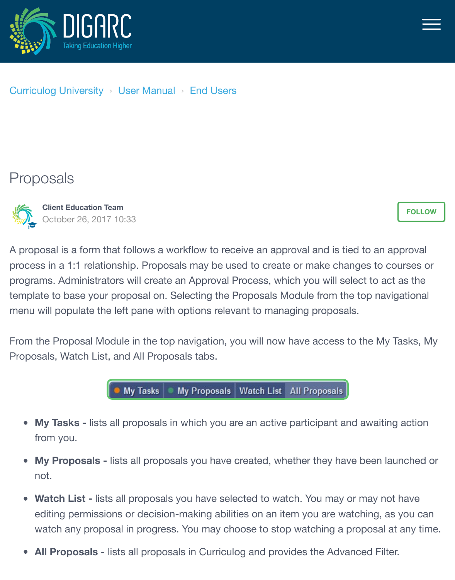



## [Curriculog University](https://curriculog.zendesk.com/hc/en-us) › [User Manual](https://curriculog.zendesk.com/hc/en-us/categories/115001220483-User-Manual) › [End Users](https://curriculog.zendesk.com/hc/en-us/sections/115001538686-End-Users)

## Proposals



**Client Education Team** October 26, 2017 10:33

**[FOLLOW](https://curriculog.zendesk.com/hc/en-us/articles/115005320283-Proposals/subscription)**

A proposal is a form that follows a workflow to receive an approval and is tied to an approval process in a 1:1 relationship. Proposals may be used to create or make changes to courses or programs. Administrators will create an Approval Process, which you will select to act as the template to base your proposal on. Selecting the Proposals Module from the top navigational menu will populate the left pane with options relevant to managing proposals.

From the Proposal Module in the top navigation, you will now have access to the My Tasks, My Proposals, Watch List, and All Proposals tabs.



- **My Tasks** lists all proposals in which you are an active participant and awaiting action from you.
- **My Proposals** lists all proposals you have created, whether they have been launched or not.
- **Watch List lists all proposals you have selected to watch. You may or may not have** editing permissions or decision-making abilities on an item you are watching, as you can watch any proposal in progress. You may choose to stop watching a proposal at any time.
- **All Proposals** lists all proposals in Curriculog and provides the Advanced Filter.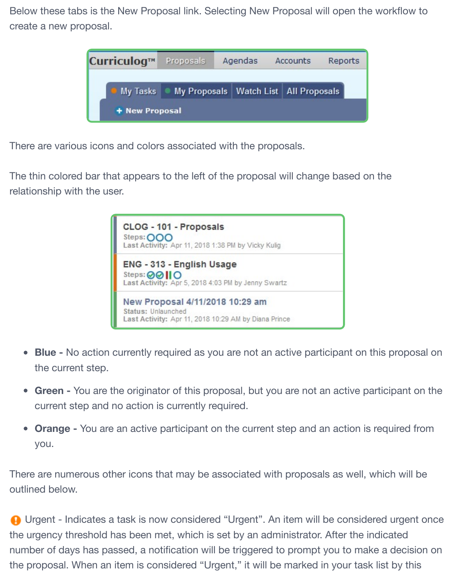Below these tabs is the New Proposal link. Selecting New Proposal will open the workflow to create a new proposal.

| Curriculog™    | Proposals | Agendas |  | Accounts |                                           | Reports |
|----------------|-----------|---------|--|----------|-------------------------------------------|---------|
| My Tasks       |           |         |  |          | My Proposals   Watch List   All Proposals |         |
| + New Proposal |           |         |  |          |                                           |         |

There are various icons and colors associated with the proposals.

The thin colored bar that appears to the left of the proposal will change based on the relationship with the user.



- **Blue** No action currently required as you are not an active participant on this proposal on the current step.
- **Green** You are the originator of this proposal, but you are not an active participant on the current step and no action is currently required.
- **Orange** You are an active participant on the current step and an action is required from you.

There are numerous other icons that may be associated with proposals as well, which will be outlined below.

**A** Urgent - Indicates a task is now considered "Urgent". An item will be considered urgent once the urgency threshold has been met, which is set by an administrator. After the indicated number of days has passed, a notification will be triggered to prompt you to make a decision on the proposal. When an item is considered "Urgent," it will be marked in your task list by this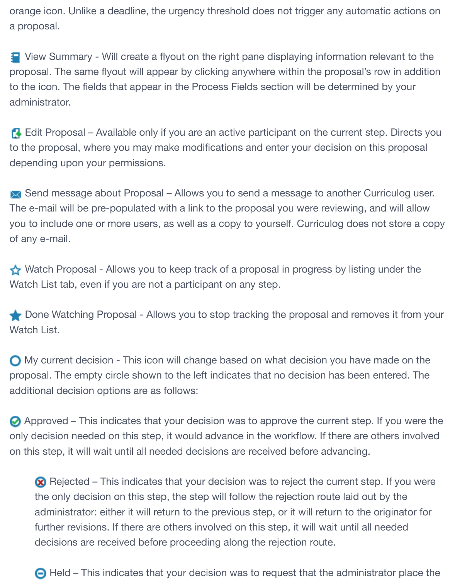orange icon. Unlike a deadline, the urgency threshold does not trigger any automatic actions on a proposal.

 View Summary - Will create a flyout on the right pane displaying information relevant to the proposal. The same flyout will appear by clicking anywhere within the proposal's row in addition to the icon. The fields that appear in the Process Fields section will be determined by your administrator.

**Edit Proposal – Available only if you are an active participant on the current step. Directs you** to the proposal, where you may make modifications and enter your decision on this proposal depending upon your permissions.

Send message about Proposal – Allows you to send a message to another Curriculog user. The e-mail will be pre-populated with a link to the proposal you were reviewing, and will allow you to include one or more users, as well as a copy to yourself. Curriculog does not store a copy of any e-mail.

Watch Proposal - Allows you to keep track of a proposal in progress by listing under the Watch List tab, even if you are not a participant on any step.

Done Watching Proposal - Allows you to stop tracking the proposal and removes it from your Watch List.

**O** My current decision - This icon will change based on what decision you have made on the proposal. The empty circle shown to the left indicates that no decision has been entered. The additional decision options are as follows:

 Approved – This indicates that your decision was to approve the current step. If you were the only decision needed on this step, it would advance in the workflow. If there are others involved on this step, it will wait until all needed decisions are received before advancing.

Rejected – This indicates that your decision was to reject the current step. If you were the only decision on this step, the step will follow the rejection route laid out by the administrator: either it will return to the previous step, or it will return to the originator for further revisions. If there are others involved on this step, it will wait until all needed decisions are received before proceeding along the rejection route.

 $\bigodot$  Held – This indicates that your decision was to request that the administrator place the